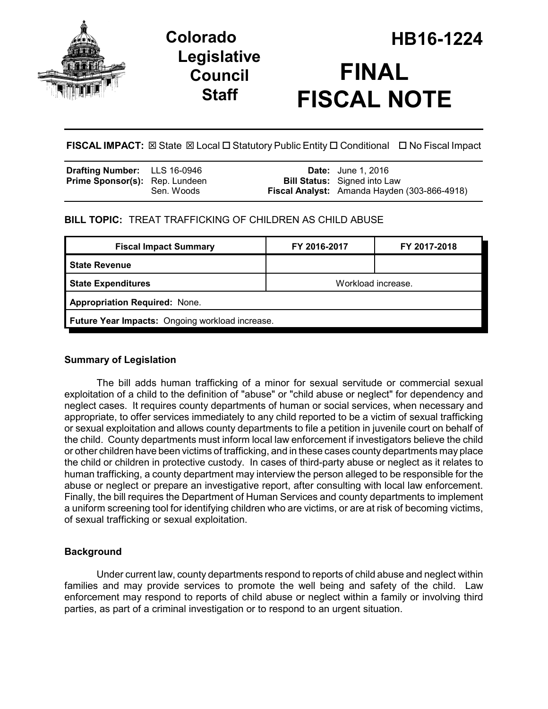

## **Legislative Council Staff**

# **Colorado HB16-1224 FINAL FISCAL NOTE**

**FISCAL IMPACT:** ⊠ State ⊠ Local □ Statutory Public Entity □ Conditional □ No Fiscal Impact

| <b>Drafting Number:</b> LLS 16-0946   |            | <b>Date:</b> June 1, 2016                    |
|---------------------------------------|------------|----------------------------------------------|
| <b>Prime Sponsor(s):</b> Rep. Lundeen |            | <b>Bill Status:</b> Signed into Law          |
|                                       | Sen. Woods | Fiscal Analyst: Amanda Hayden (303-866-4918) |

## **BILL TOPIC:** TREAT TRAFFICKING OF CHILDREN AS CHILD ABUSE

| <b>Fiscal Impact Summary</b>                    | FY 2016-2017       | FY 2017-2018 |  |  |  |
|-------------------------------------------------|--------------------|--------------|--|--|--|
| <b>State Revenue</b>                            |                    |              |  |  |  |
| <b>State Expenditures</b>                       | Workload increase. |              |  |  |  |
| <b>Appropriation Required: None.</b>            |                    |              |  |  |  |
| Future Year Impacts: Ongoing workload increase. |                    |              |  |  |  |
|                                                 |                    |              |  |  |  |

## **Summary of Legislation**

The bill adds human trafficking of a minor for sexual servitude or commercial sexual exploitation of a child to the definition of "abuse" or "child abuse or neglect" for dependency and neglect cases. It requires county departments of human or social services, when necessary and appropriate, to offer services immediately to any child reported to be a victim of sexual trafficking or sexual exploitation and allows county departments to file a petition in juvenile court on behalf of the child. County departments must inform local law enforcement if investigators believe the child or other children have been victims of trafficking, and in these cases county departments may place the child or children in protective custody. In cases of third-party abuse or neglect as it relates to human trafficking, a county department may interview the person alleged to be responsible for the abuse or neglect or prepare an investigative report, after consulting with local law enforcement. Finally, the bill requires the Department of Human Services and county departments to implement a uniform screening tool for identifying children who are victims, or are at risk of becoming victims, of sexual trafficking or sexual exploitation.

## **Background**

Under current law, county departments respond to reports of child abuse and neglect within families and may provide services to promote the well being and safety of the child. Law enforcement may respond to reports of child abuse or neglect within a family or involving third parties, as part of a criminal investigation or to respond to an urgent situation.